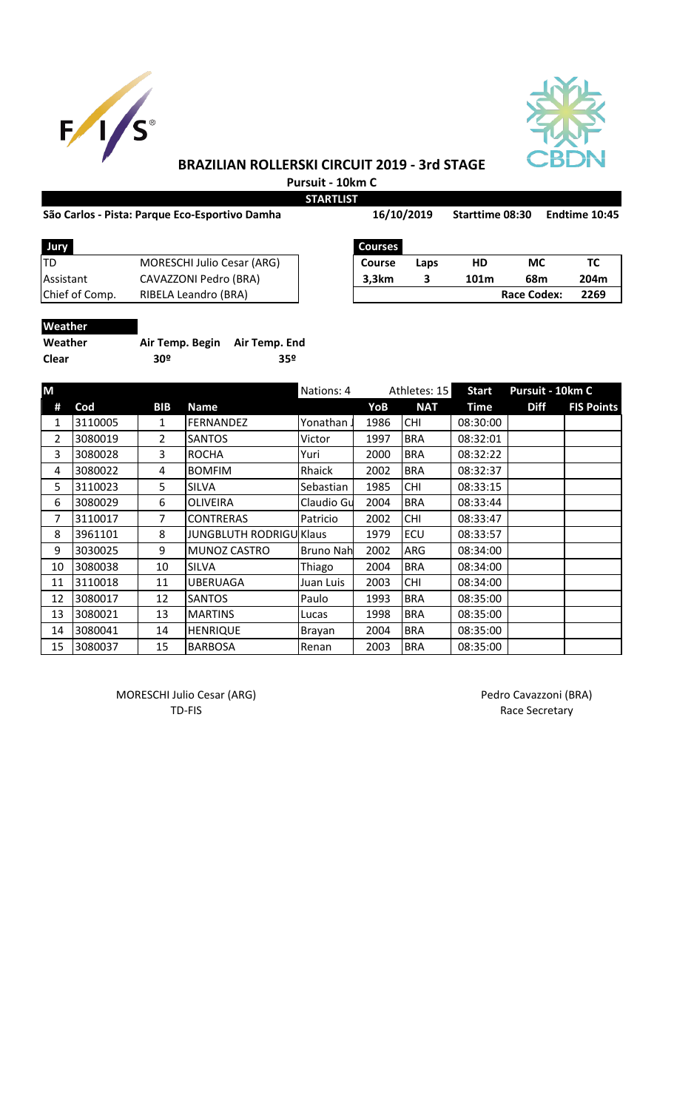



## **BRAZILIAN ROLLERSKI CIRCUIT 2019 - 3rd STAGE Pursuit - 10km C**

**STARTLIST**

## São Carlos - Pista: Parque Eco-Esportivo Damha 16/10/2019 Starttime 08:30 Endtime 10:45

| <b>Jury</b>    |                                   | Courses       |      |      |             |     |
|----------------|-----------------------------------|---------------|------|------|-------------|-----|
| ltd            | <b>MORESCHI Julio Cesar (ARG)</b> | <b>Course</b> | Laps | HD   | МC          | тс  |
| Assistant      | CAVAZZONI Pedro (BRA)             | 3,3km         |      | 101m | 68m         | 204 |
| Chief of Comp. | RIBELA Leandro (BRA)              |               |      |      | Race Codex: | 226 |
|                |                                   |               |      |      |             |     |

| Jury           |                                   | <b>Courses</b> |      |      |             |      |
|----------------|-----------------------------------|----------------|------|------|-------------|------|
|                | <b>MORESCHI Julio Cesar (ARG)</b> | <b>Course</b>  | Laps | HD   | МC          |      |
| Assistant      | CAVAZZONI Pedro (BRA)             | 3.3km          |      | 101m | 68m         | 204m |
| Chief of Comp. | RIBELA Leandro (BRA)              |                |      |      | Race Codex: | 2269 |

| w | काातव |  |
|---|-------|--|
|   |       |  |

| Weather | Air Temp. Begin Air Temp. End |     |
|---------|-------------------------------|-----|
| Clear   | 30º                           | 359 |

| M              |         |                |                                | Nations: 4<br>Athletes: 15 |      | <b>Start</b> | Pursuit - 10km C |             |                   |
|----------------|---------|----------------|--------------------------------|----------------------------|------|--------------|------------------|-------------|-------------------|
| #              | Cod     | <b>BIB</b>     | <b>Name</b>                    |                            | YoB  | <b>NAT</b>   | <b>Time</b>      | <b>Diff</b> | <b>FIS Points</b> |
| 1              | 3110005 | $\mathbf{1}$   | <b>FERNANDEZ</b>               | Yonathan J                 | 1986 | <b>CHI</b>   | 08:30:00         |             |                   |
| $\overline{2}$ | 3080019 | $\overline{2}$ | <b>SANTOS</b>                  | Victor                     | 1997 | <b>BRA</b>   | 08:32:01         |             |                   |
| 3              | 3080028 | 3              | <b>ROCHA</b>                   | Yuri                       | 2000 | <b>BRA</b>   | 08:32:22         |             |                   |
| 4              | 3080022 | 4              | <b>BOMFIM</b>                  | Rhaick                     | 2002 | <b>BRA</b>   | 08:32:37         |             |                   |
| 5              | 3110023 | 5              | <b>SILVA</b>                   | Sebastian                  | 1985 | <b>CHI</b>   | 08:33:15         |             |                   |
| 6              | 3080029 | 6              | <b>OLIVEIRA</b>                | Claudio Gu                 | 2004 | <b>BRA</b>   | 08:33:44         |             |                   |
| 7              | 3110017 | $\overline{7}$ | <b>CONTRERAS</b>               | Patricio                   | 2002 | <b>CHI</b>   | 08:33:47         |             |                   |
| 8              | 3961101 | 8              | <b>JUNGBLUTH RODRIGU Klaus</b> |                            | 1979 | ECU          | 08:33:57         |             |                   |
| 9              | 3030025 | 9              | MUNOZ CASTRO                   | <b>Bruno Nah</b>           | 2002 | ARG          | 08:34:00         |             |                   |
| 10             | 3080038 | 10             | <b>SILVA</b>                   | Thiago                     | 2004 | <b>BRA</b>   | 08:34:00         |             |                   |
| 11             | 3110018 | 11             | <b>UBERUAGA</b>                | Juan Luis                  | 2003 | <b>CHI</b>   | 08:34:00         |             |                   |
| 12             | 3080017 | 12             | <b>SANTOS</b>                  | Paulo                      | 1993 | <b>BRA</b>   | 08:35:00         |             |                   |
| 13             | 3080021 | 13             | <b>MARTINS</b>                 | Lucas                      | 1998 | <b>BRA</b>   | 08:35:00         |             |                   |
| 14             | 3080041 | 14             | <b>HENRIQUE</b>                | Brayan                     | 2004 | <b>BRA</b>   | 08:35:00         |             |                   |
| 15             | 3080037 | 15             | <b>BARBOSA</b>                 | Renan                      | 2003 | <b>BRA</b>   | 08:35:00         |             |                   |

MORESCHI Julio Cesar (ARG) MORESCHI Julio Cesar (ARG)

TD-FIS Race Secretary